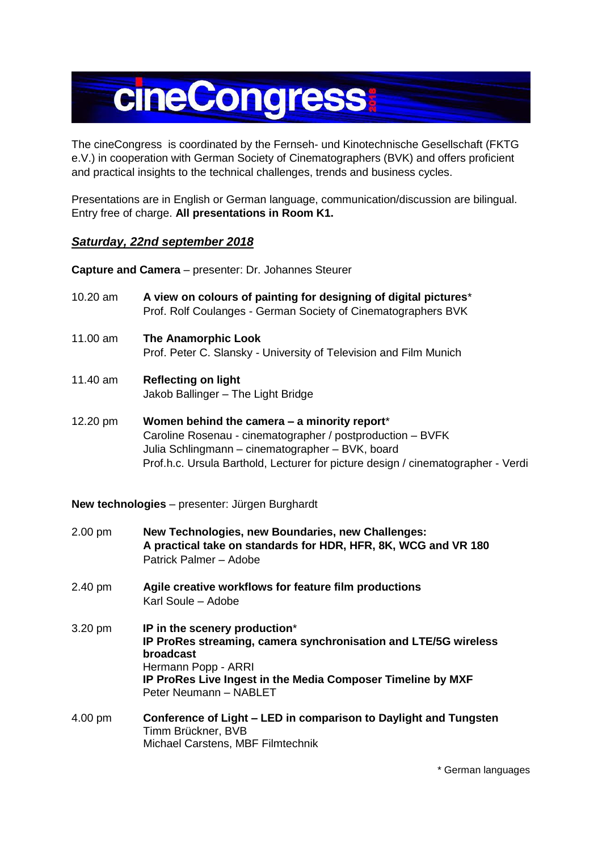## **cineCongress**

The cineCongress is coordinated by the Fernseh- und Kinotechnische Gesellschaft (FKTG e.V.) in cooperation with German Society of Cinematographers (BVK) and offers proficient and practical insights to the technical challenges, trends and business cycles.

Presentations are in English or German language, communication/discussion are bilingual. Entry free of charge. **All presentations in Room K1.**

## *Saturday, 22nd september 2018*

**Capture and Camera** – presenter: Dr. Johannes Steurer

- 10.20 am **A view on colours of painting for designing of digital pictures**\* Prof. Rolf Coulanges - German Society of Cinematographers BVK
- 11.00 am **The Anamorphic Look** Prof. Peter C. Slansky - University of Television and Film Munich
- 11.40 am **Reflecting on light** Jakob Ballinger – The Light Bridge
- 12.20 pm **Women behind the camera – a minority report**\* Caroline Rosenau - cinematographer / postproduction – BVFK Julia Schlingmann – cinematographer – BVK, board Prof.h.c. Ursula Barthold, Lecturer for picture design / cinematographer - Verdi

**New technologies** – presenter: Jürgen Burghardt

- 2.00 pm **New Technologies, new Boundaries, new Challenges: A practical take on standards for HDR, HFR, 8K, WCG and VR 180** Patrick Palmer – Adobe
- 2.40 pm **Agile creative workflows for feature film productions** Karl Soule – Adobe
- 3.20 pm **IP in the scenery production**\* **IP ProRes streaming, camera synchronisation and LTE/5G wireless broadcast** Hermann Popp - ARRI **IP ProRes Live Ingest in the Media Composer Timeline by MXF** Peter Neumann – NABLET
- 4.00 pm **Conference of Light – LED in comparison to Daylight and Tungsten** Timm Brückner, BVB Michael Carstens, MBF Filmtechnik

\* German languages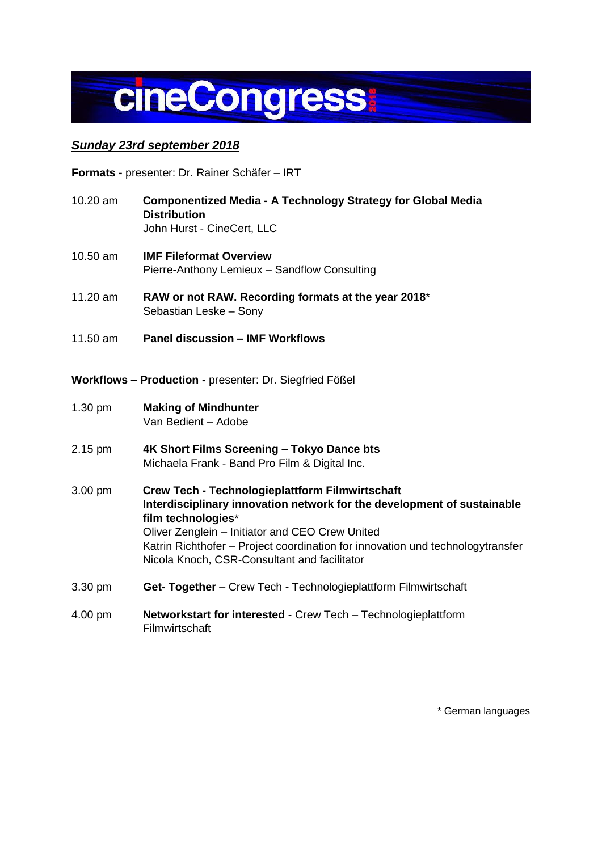

## *Sunday 23rd september 2018*

**Formats -** presenter: Dr. Rainer Schäfer – IRT

- 10.20 am **Componentized Media - A Technology Strategy for Global Media Distribution** John Hurst - CineCert, LLC
- 10.50 am **IMF Fileformat Overview** Pierre-Anthony Lemieux – Sandflow Consulting
- 11.20 am **RAW or not RAW. Recording formats at the year 2018**\* Sebastian Leske – Sony
- 11.50 am **Panel discussion – IMF Workflows**
- **Workflows – Production -** presenter: Dr. Siegfried Fößel
- 1.30 pm **Making of Mindhunter** Van Bedient – Adobe
- 2.15 pm **4K Short Films Screening – Tokyo Dance bts** Michaela Frank - Band Pro Film & Digital Inc.
- 3.00 pm **Crew Tech - Technologieplattform Filmwirtschaft Interdisciplinary innovation network for the development of sustainable film technologies**\* Oliver Zenglein – Initiator and CEO Crew United Katrin Richthofer – Project coordination for innovation und technologytransfer Nicola Knoch, CSR-Consultant and facilitator
- 3.30 pm **Get- Together** Crew Tech Technologieplattform Filmwirtschaft
- 4.00 pm **Networkstart for interested** Crew Tech Technologieplattform **Filmwirtschaft**

\* German languages